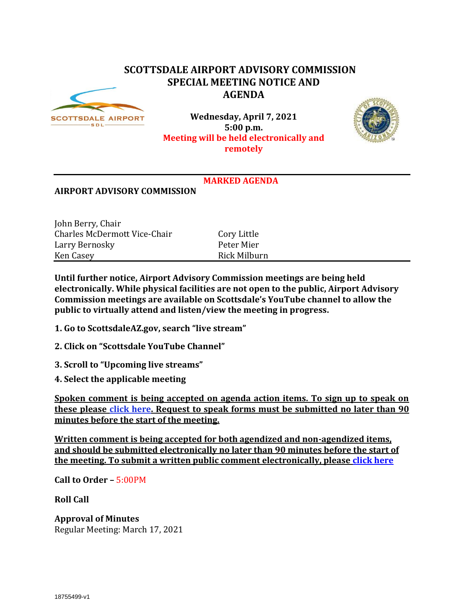## **SCOTTSDALE AIRPORT ADVISORY COMMISSION SPECIAL MEETING NOTICE AND AGENDA**



**Wednesday, April 7, 2021 5:00 p.m. Meeting will be held electronically and remotely** 



## **MARKED AGENDA**

## **AIRPORT ADVISORY COMMISSION**

| John Berry, Chair                   |              |
|-------------------------------------|--------------|
| <b>Charles McDermott Vice-Chair</b> | Cory Little  |
| Larry Bernosky                      | Peter Mier   |
| Ken Casey                           | Rick Milburn |

**Until further notice, Airport Advisory Commission meetings are being held electronically. While physical facilities are not open to the public, Airport Advisory Commission meetings are available on Scottsdale's YouTube channel to allow the public to virtually attend and listen/view the meeting in progress.**

- **1. Go to ScottsdaleAZ.gov, search "live stream"**
- **2. Click on "Scottsdale YouTube Channel"**
- **3. Scroll to "Upcoming live streams"**
- **4. Select the applicable meeting**

**Spoken comment is being accepted on agenda action items. To sign up to speak on these please [click here.](https://www.scottsdaleaz.gov/boards/airport-advisory-commission/spoken-comment) Request to speak forms must be submitted no later than 90 minutes before the start of the meeting.**

**Written comment is being accepted for both agendized and non-agendized items, and should be submitted electronically no later than 90 minutes before the start of the meeting. To submit a written public comment electronically, please [click here](https://www.scottsdaleaz.gov/boards/airport-advisory-commission/public-comment)**

**Call to Order –** 5:00PM

**Roll Call**

**Approval of Minutes** Regular Meeting: March 17, 2021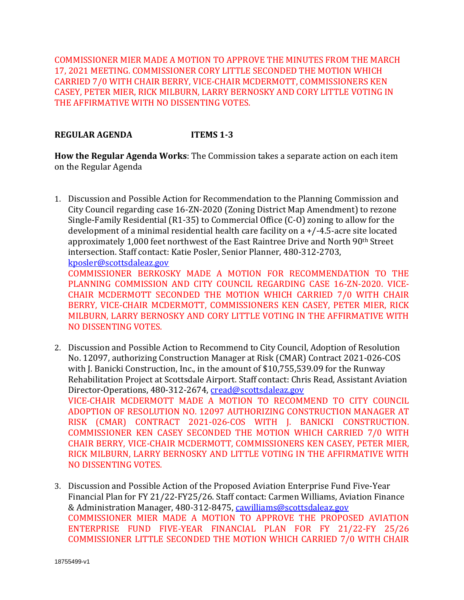COMMISSIONER MIER MADE A MOTION TO APPROVE THE MINUTES FROM THE MARCH 17, 2021 MEETING. COMMISSIONER CORY LITTLE SECONDED THE MOTION WHICH CARRIED 7/0 WITH CHAIR BERRY, VICE-CHAIR MCDERMOTT, COMMISSIONERS KEN CASEY, PETER MIER, RICK MILBURN, LARRY BERNOSKY AND CORY LITTLE VOTING IN THE AFFIRMATIVE WITH NO DISSENTING VOTES.

## **REGULAR AGENDA ITEMS 1-3**

NO DISSENTING VOTES.

**How the Regular Agenda Works**: The Commission takes a separate action on each item on the Regular Agenda

1. Discussion and Possible Action for Recommendation to the Planning Commission and City Council regarding case 16-ZN-2020 (Zoning District Map Amendment) to rezone Single-Family Residential (R1-35) to Commercial Office (C-O) zoning to allow for the development of a minimal residential health care facility on a +/-4.5-acre site located approximately 1,000 feet northwest of the East Raintree Drive and North 90<sup>th</sup> Street intersection. Staff contact: Katie Posler, Senior Planner, 480-312-2703, [kposler@scottsdaleaz.gov](mailto:kposler@scottsdaleaz.gov) COMMISSIONER BERKOSKY MADE A MOTION FOR RECOMMENDATION TO THE PLANNING COMMISSION AND CITY COUNCIL REGARDING CASE 16-ZN-2020. VICE-CHAIR MCDERMOTT SECONDED THE MOTION WHICH CARRIED 7/0 WITH CHAIR BERRY, VICE-CHAIR MCDERMOTT, COMMISSIONERS KEN CASEY, PETER MIER, RICK

MILBURN, LARRY BERNOSKY AND CORY LITTLE VOTING IN THE AFFIRMATIVE WITH

- 2. Discussion and Possible Action to Recommend to City Council, Adoption of Resolution No. 12097, authorizing Construction Manager at Risk (CMAR) Contract 2021-026-COS with J. Banicki Construction, Inc., in the amount of \$10,755,539.09 for the Runway Rehabilitation Project at Scottsdale Airport. Staff contact: Chris Read, Assistant Aviation Director-Operations, 480-312-2674, [cread@scottsdaleaz.gov](mailto:cread@scottsdaleaz.gov) VICE-CHAIR MCDERMOTT MADE A MOTION TO RECOMMEND TO CITY COUNCIL ADOPTION OF RESOLUTION NO. 12097 AUTHORIZING CONSTRUCTION MANAGER AT RISK (CMAR) CONTRACT 2021-026-COS WITH J. BANICKI CONSTRUCTION. COMMISSIONER KEN CASEY SECONDED THE MOTION WHICH CARRIED 7/0 WITH CHAIR BERRY, VICE-CHAIR MCDERMOTT, COMMISSIONERS KEN CASEY, PETER MIER, RICK MILBURN, LARRY BERNOSKY AND LITTLE VOTING IN THE AFFIRMATIVE WITH NO DISSENTING VOTES.
- 3. Discussion and Possible Action of the Proposed Aviation Enterprise Fund Five-Year Financial Plan for FY 21/22-FY25/26. Staff contact: Carmen Williams, Aviation Finance & Administration Manager, 480-312-8475, [cawilliams@scottsdaleaz.gov](mailto:cawilliams@scottsdaleaz.gov) COMMISSIONER MIER MADE A MOTION TO APPROVE THE PROPOSED AVIATION ENTERPRISE FUND FIVE-YEAR FINANCIAL PLAN FOR FY 21/22-FY 25/26 COMMISSIONER LITTLE SECONDED THE MOTION WHICH CARRIED 7/0 WITH CHAIR